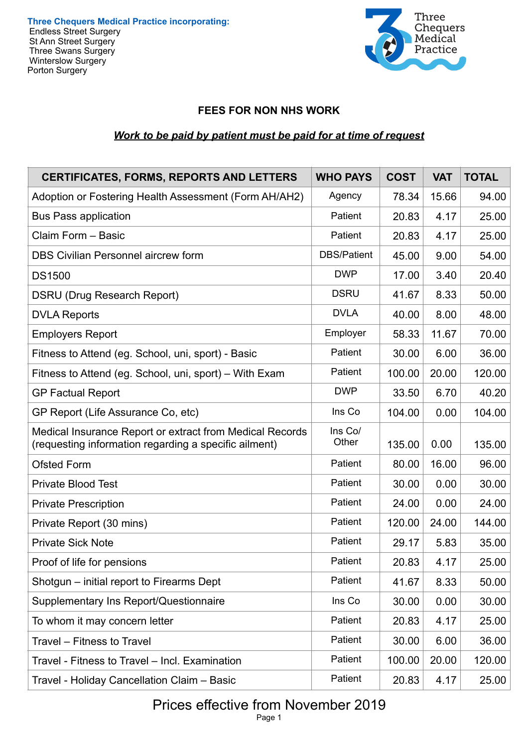**Three Chequers Medical Practice incorporating:**  Endless Street Surgery St Ann Street Surgery Three Swans Surgery Winterslow Surgery Porton Surgery



# **FEES FOR NON NHS WORK**

# *Work to be paid by patient must be paid for at time of request*

| <b>CERTIFICATES, FORMS, REPORTS AND LETTERS</b>                                                                   | <b>WHO PAYS</b>    | <b>COST</b> | <b>VAT</b> | <b>TOTAL</b> |
|-------------------------------------------------------------------------------------------------------------------|--------------------|-------------|------------|--------------|
| Adoption or Fostering Health Assessment (Form AH/AH2)                                                             | Agency             | 78.34       | 15.66      | 94.00        |
| <b>Bus Pass application</b>                                                                                       | Patient            | 20.83       | 4.17       | 25.00        |
| Claim Form - Basic                                                                                                | Patient            | 20.83       | 4.17       | 25.00        |
| <b>DBS Civilian Personnel aircrew form</b>                                                                        | <b>DBS/Patient</b> | 45.00       | 9.00       | 54.00        |
| <b>DS1500</b>                                                                                                     | <b>DWP</b>         | 17.00       | 3.40       | 20.40        |
| <b>DSRU (Drug Research Report)</b>                                                                                | <b>DSRU</b>        | 41.67       | 8.33       | 50.00        |
| <b>DVLA Reports</b>                                                                                               | <b>DVLA</b>        | 40.00       | 8.00       | 48.00        |
| <b>Employers Report</b>                                                                                           | Employer           | 58.33       | 11.67      | 70.00        |
| Fitness to Attend (eg. School, uni, sport) - Basic                                                                | Patient            | 30.00       | 6.00       | 36.00        |
| Fitness to Attend (eg. School, uni, sport) – With Exam                                                            | Patient            | 100.00      | 20.00      | 120.00       |
| <b>GP Factual Report</b>                                                                                          | <b>DWP</b>         | 33.50       | 6.70       | 40.20        |
| GP Report (Life Assurance Co, etc)                                                                                | Ins Co             | 104.00      | 0.00       | 104.00       |
| Medical Insurance Report or extract from Medical Records<br>(requesting information regarding a specific ailment) | Ins Co/<br>Other   | 135.00      | 0.00       | 135.00       |
| <b>Ofsted Form</b>                                                                                                | Patient            | 80.00       | 16.00      | 96.00        |
| <b>Private Blood Test</b>                                                                                         | Patient            | 30.00       | 0.00       | 30.00        |
| <b>Private Prescription</b>                                                                                       | Patient            | 24.00       | 0.00       | 24.00        |
| Private Report (30 mins)                                                                                          | Patient            | 120.00      | 24.00      | 144.00       |
| <b>Private Sick Note</b>                                                                                          | Patient            | 29.17       | 5.83       | 35.00        |
| Proof of life for pensions                                                                                        | Patient            | 20.83       | 4.17       | 25.00        |
| Shotgun - initial report to Firearms Dept                                                                         | Patient            | 41.67       | 8.33       | 50.00        |
| <b>Supplementary Ins Report/Questionnaire</b>                                                                     | Ins Co             | 30.00       | 0.00       | 30.00        |
| To whom it may concern letter                                                                                     | Patient            | 20.83       | 4.17       | 25.00        |
| Travel - Fitness to Travel                                                                                        | Patient            | 30.00       | 6.00       | 36.00        |
| Travel - Fitness to Travel - Incl. Examination                                                                    | Patient            | 100.00      | 20.00      | 120.00       |
| Travel - Holiday Cancellation Claim - Basic                                                                       | Patient            | 20.83       | 4.17       | 25.00        |

#### Prices effective from November 2019 Page 1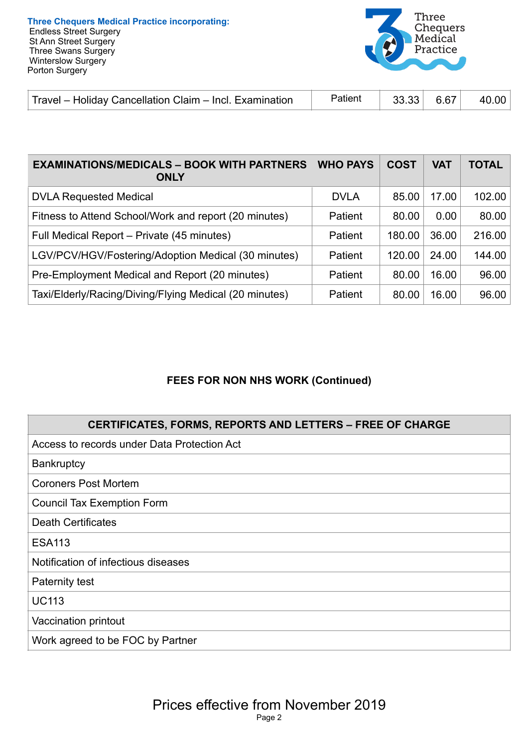

| Travel – Holiday Cancellation Claim – Incl. Examination | Patient | $33.33$ 6.67 |  | 40.00 $ $ |
|---------------------------------------------------------|---------|--------------|--|-----------|
|---------------------------------------------------------|---------|--------------|--|-----------|

| <b>EXAMINATIONS/MEDICALS - BOOK WITH PARTNERS</b><br><b>ONLY</b> | <b>WHO PAYS</b> | <b>COST</b> | <b>VAT</b> | <b>TOTAL</b> |
|------------------------------------------------------------------|-----------------|-------------|------------|--------------|
| <b>DVLA Requested Medical</b>                                    | <b>DVLA</b>     | 85.00       | 17.00      | 102.00       |
| Fitness to Attend School/Work and report (20 minutes)            | <b>Patient</b>  | 80.00       | 0.00       | 80.00        |
| Full Medical Report - Private (45 minutes)                       | Patient         | 180.00      | 36.00      | 216.00       |
| LGV/PCV/HGV/Fostering/Adoption Medical (30 minutes)              | Patient         | 120.00      | 24.00      | 144.00       |
| Pre-Employment Medical and Report (20 minutes)                   | Patient         | 80.00       | 16.00      | 96.00        |
| Taxi/Elderly/Racing/Diving/Flying Medical (20 minutes)           | Patient         | 80.00       | 16.00      | 96.00        |

# **FEES FOR NON NHS WORK (Continued)**

| <b>CERTIFICATES, FORMS, REPORTS AND LETTERS - FREE OF CHARGE</b> |
|------------------------------------------------------------------|
| Access to records under Data Protection Act                      |
| <b>Bankruptcy</b>                                                |
| <b>Coroners Post Mortem</b>                                      |
| <b>Council Tax Exemption Form</b>                                |
| <b>Death Certificates</b>                                        |
| <b>ESA113</b>                                                    |
| Notification of infectious diseases                              |
| Paternity test                                                   |
| <b>UC113</b>                                                     |
| Vaccination printout                                             |
| Work agreed to be FOC by Partner                                 |